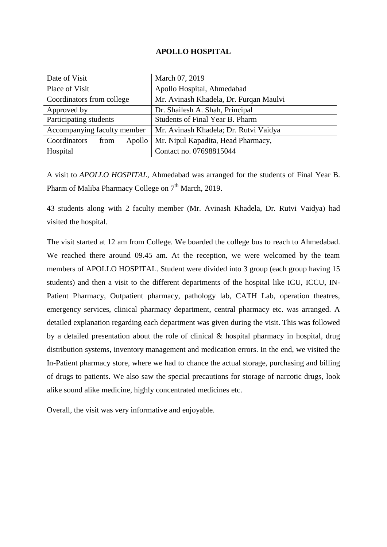## **APOLLO HOSPITAL**

| Date of Visit                  | March 07, 2019                         |
|--------------------------------|----------------------------------------|
| Place of Visit                 | Apollo Hospital, Ahmedabad             |
| Coordinators from college      | Mr. Avinash Khadela, Dr. Furqan Maulvi |
| Approved by                    | Dr. Shailesh A. Shah, Principal        |
| Participating students         | Students of Final Year B. Pharm        |
| Accompanying faculty member    | Mr. Avinash Khadela; Dr. Rutvi Vaidya  |
| Coordinators<br>Apollo<br>from | Mr. Nipul Kapadita, Head Pharmacy,     |
| Hospital                       | Contact no. 07698815044                |

A visit to *APOLLO HOSPITAL,* Ahmedabad was arranged for the students of Final Year B. Pharm of Maliba Pharmacy College on 7<sup>th</sup> March, 2019.

43 students along with 2 faculty member (Mr. Avinash Khadela, Dr. Rutvi Vaidya) had visited the hospital.

The visit started at 12 am from College. We boarded the college bus to reach to Ahmedabad. We reached there around 09.45 am. At the reception, we were welcomed by the team members of APOLLO HOSPITAL. Student were divided into 3 group (each group having 15 students) and then a visit to the different departments of the hospital like ICU, ICCU, IN-Patient Pharmacy, Outpatient pharmacy, pathology lab, CATH Lab, operation theatres, emergency services, clinical pharmacy department, central pharmacy etc. was arranged. A detailed explanation regarding each department was given during the visit. This was followed by a detailed presentation about the role of clinical & hospital pharmacy in hospital, drug distribution systems, inventory management and medication errors. In the end, we visited the In-Patient pharmacy store, where we had to chance the actual storage, purchasing and billing of drugs to patients. We also saw the special precautions for storage of narcotic drugs, look alike sound alike medicine, highly concentrated medicines etc.

Overall, the visit was very informative and enjoyable.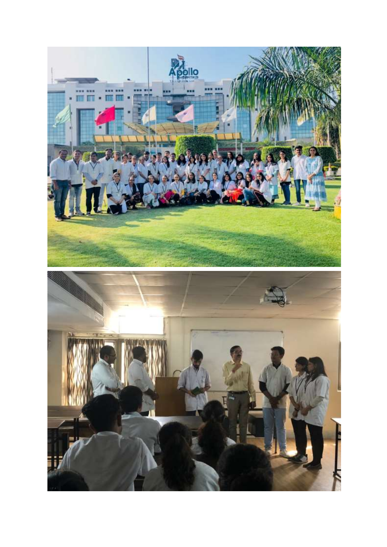